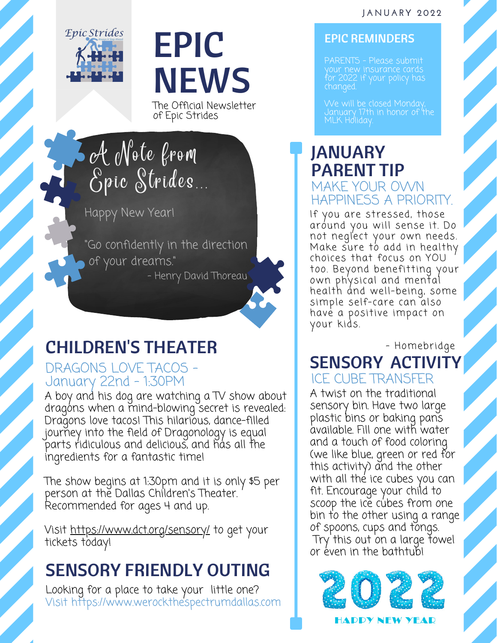#### **J A N U A R Y 2 0 2 2**



# EPIC NEWS

The Official Newsletter of Epic Strides

A Note from Epic Strides

Happy New Year!

"Go confidently in the direction of your dreams. " - Henry David Thoreau

# CHILDREN'S THEATER

### DRAGONS LOVE TACOS - January 22nd - 1:30PM

A boy and his dog are watching a TV show about dragons when a mind-blowing secret is revealed: Dragons love tacos! This hilarious, dance-filled journey into the field of Dragonology is equal parts ridiculous and delicious, and has all the ingredients for a fantastic time!

The show begins at 1:30pm and it is only \$5 per person at the Dallas Children's Theater. Recommended for ages 4 and up.

Visit <https://www.dct.org/sensory/> to get your tickets today!

# SENSORY FRIENDLY OUTING

Looking for a place to take your little one? Visit https://www.werockthespectrumdallas.com

#### EPIC REMINDERS

your new insurance cards for 2022 if your policy has changed.

We will be closed Monday, January 17th in honor of the MLK Holiday.

## JANUARY PARENT TIP MAKE YOUR OWN HAPPINESS A PRIORITY.

If you are stressed, those around you will sense it. Do not neglect your own needs. Make sure to add in healthy choices that focus on YOU too. Beyond benefitting your own physical and mental health and well-being, some simple self-care can also have a positive impact on your kids.

- Homebridge

### SENSORY ACTIVITY ICE CUBE TRANSFER

A twist on the traditional sensory bin. Have two large plastic bins or baking pans available. Fill one with water and a touch of food coloring (we like blue, green or red for this activity) and the other with all the ice cubes you can fit. Encourage your child to scoop the ice cubes from one bin to the other using a range of spoons, cups and tongs. Try this out on a large fowel or even in the bathtub!